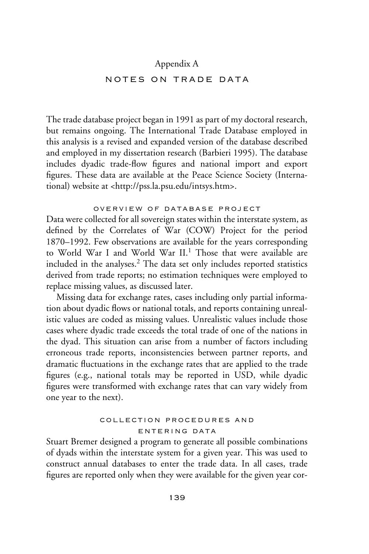# Appendix A

## notes on trade data

The trade database project began in 1991 as part of my doctoral research, but remains ongoing. The International Trade Database employed in this analysis is a revised and expanded version of the database described and employed in my dissertation research (Barbieri 1995). The database includes dyadic trade-flow figures and national import and export figures. These data are available at the Peace Science Society (International) website at <http://pss.la.psu.edu/intsys.htm>.

## overview of database project

Data were collected for all sovereign states within the interstate system, as defined by the Correlates of War (COW) Project for the period 1870–1992. Few observations are available for the years corresponding to World War I and World War II.<sup>1</sup> Those that were available are included in the analyses.<sup>2</sup> The data set only includes reported statistics derived from trade reports; no estimation techniques were employed to replace missing values, as discussed later.

Missing data for exchange rates, cases including only partial information about dyadic flows or national totals, and reports containing unrealistic values are coded as missing values. Unrealistic values include those cases where dyadic trade exceeds the total trade of one of the nations in the dyad. This situation can arise from a number of factors including erroneous trade reports, inconsistencies between partner reports, and dramatic fluctuations in the exchange rates that are applied to the trade figures (e.g., national totals may be reported in USD, while dyadic figures were transformed with exchange rates that can vary widely from one year to the next).

# collection procedures and entering data

Stuart Bremer designed a program to generate all possible combinations of dyads within the interstate system for a given year. This was used to construct annual databases to enter the trade data. In all cases, trade figures are reported only when they were available for the given year cor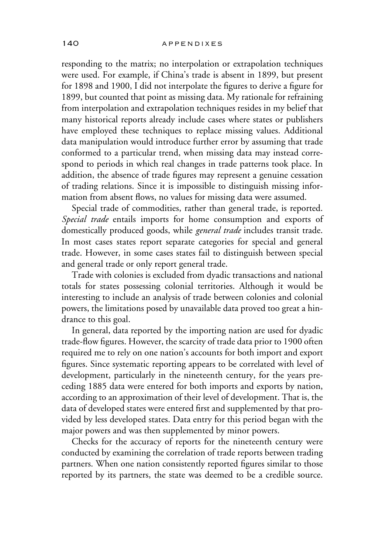responding to the matrix; no interpolation or extrapolation techniques were used. For example, if China's trade is absent in 1899, but present for 1898 and 1900, I did not interpolate the figures to derive a figure for 1899, but counted that point as missing data. My rationale for refraining from interpolation and extrapolation techniques resides in my belief that many historical reports already include cases where states or publishers have employed these techniques to replace missing values. Additional data manipulation would introduce further error by assuming that trade conformed to a particular trend, when missing data may instead correspond to periods in which real changes in trade patterns took place. In addition, the absence of trade figures may represent a genuine cessation of trading relations. Since it is impossible to distinguish missing information from absent flows, no values for missing data were assumed.

Special trade of commodities, rather than general trade, is reported. *Special trade* entails imports for home consumption and exports of domestically produced goods, while *general trade* includes transit trade. In most cases states report separate categories for special and general trade. However, in some cases states fail to distinguish between special and general trade or only report general trade.

Trade with colonies is excluded from dyadic transactions and national totals for states possessing colonial territories. Although it would be interesting to include an analysis of trade between colonies and colonial powers, the limitations posed by unavailable data proved too great a hindrance to this goal.

In general, data reported by the importing nation are used for dyadic trade-flow figures. However, the scarcity of trade data prior to 1900 often required me to rely on one nation's accounts for both import and export figures. Since systematic reporting appears to be correlated with level of development, particularly in the nineteenth century, for the years preceding 1885 data were entered for both imports and exports by nation, according to an approximation of their level of development. That is, the data of developed states were entered first and supplemented by that provided by less developed states. Data entry for this period began with the major powers and was then supplemented by minor powers.

Checks for the accuracy of reports for the nineteenth century were conducted by examining the correlation of trade reports between trading partners. When one nation consistently reported figures similar to those reported by its partners, the state was deemed to be a credible source.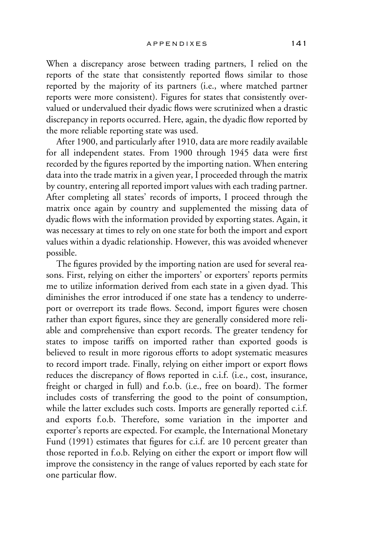When a discrepancy arose between trading partners, I relied on the reports of the state that consistently reported flows similar to those reported by the majority of its partners (i.e., where matched partner reports were more consistent). Figures for states that consistently overvalued or undervalued their dyadic flows were scrutinized when a drastic discrepancy in reports occurred. Here, again, the dyadic flow reported by the more reliable reporting state was used.

After 1900, and particularly after 1910, data are more readily available for all independent states. From 1900 through 1945 data were first recorded by the figures reported by the importing nation. When entering data into the trade matrix in a given year, I proceeded through the matrix by country, entering all reported import values with each trading partner. After completing all states' records of imports, I proceed through the matrix once again by country and supplemented the missing data of dyadic flows with the information provided by exporting states. Again, it was necessary at times to rely on one state for both the import and export values within a dyadic relationship. However, this was avoided whenever possible.

The figures provided by the importing nation are used for several reasons. First, relying on either the importers' or exporters' reports permits me to utilize information derived from each state in a given dyad. This diminishes the error introduced if one state has a tendency to underreport or overreport its trade flows. Second, import figures were chosen rather than export figures, since they are generally considered more reliable and comprehensive than export records. The greater tendency for states to impose tariffs on imported rather than exported goods is believed to result in more rigorous efforts to adopt systematic measures to record import trade. Finally, relying on either import or export flows reduces the discrepancy of flows reported in c.i.f. (i.e., cost, insurance, freight or charged in full) and f.o.b. (i.e., free on board). The former includes costs of transferring the good to the point of consumption, while the latter excludes such costs. Imports are generally reported c.i.f. and exports f.o.b. Therefore, some variation in the importer and exporter's reports are expected. For example, the International Monetary Fund (1991) estimates that figures for c.i.f. are 10 percent greater than those reported in f.o.b. Relying on either the export or import flow will improve the consistency in the range of values reported by each state for one particular flow.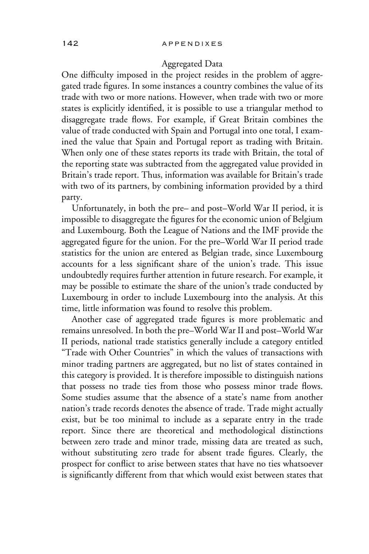#### 142 APPENDIXES

#### Aggregated Data

One difficulty imposed in the project resides in the problem of aggregated trade figures. In some instances a country combines the value of its trade with two or more nations. However, when trade with two or more states is explicitly identified, it is possible to use a triangular method to disaggregate trade flows. For example, if Great Britain combines the value of trade conducted with Spain and Portugal into one total, I examined the value that Spain and Portugal report as trading with Britain. When only one of these states reports its trade with Britain, the total of the reporting state was subtracted from the aggregated value provided in Britain's trade report. Thus, information was available for Britain's trade with two of its partners, by combining information provided by a third party.

Unfortunately, in both the pre– and post–World War II period, it is impossible to disaggregate the figures for the economic union of Belgium and Luxembourg. Both the League of Nations and the IMF provide the aggregated figure for the union. For the pre–World War II period trade statistics for the union are entered as Belgian trade, since Luxembourg accounts for a less significant share of the union's trade. This issue undoubtedly requires further attention in future research. For example, it may be possible to estimate the share of the union's trade conducted by Luxembourg in order to include Luxembourg into the analysis. At this time, little information was found to resolve this problem.

Another case of aggregated trade figures is more problematic and remains unresolved. In both the pre–World War II and post–World War II periods, national trade statistics generally include a category entitled "Trade with Other Countries" in which the values of transactions with minor trading partners are aggregated, but no list of states contained in this category is provided. It is therefore impossible to distinguish nations that possess no trade ties from those who possess minor trade flows. Some studies assume that the absence of a state's name from another nation's trade records denotes the absence of trade. Trade might actually exist, but be too minimal to include as a separate entry in the trade report. Since there are theoretical and methodological distinctions between zero trade and minor trade, missing data are treated as such, without substituting zero trade for absent trade figures. Clearly, the prospect for conflict to arise between states that have no ties whatsoever is significantly different from that which would exist between states that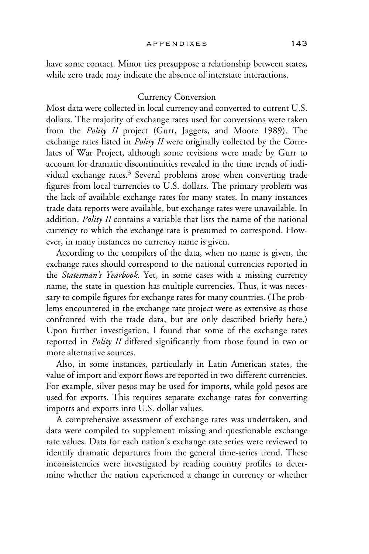have some contact. Minor ties presuppose a relationship between states, while zero trade may indicate the absence of interstate interactions.

# Currency Conversion

Most data were collected in local currency and converted to current U.S. dollars. The majority of exchange rates used for conversions were taken from the *Polity II* project (Gurr, Jaggers, and Moore 1989). The exchange rates listed in *Polity II* were originally collected by the Correlates of War Project, although some revisions were made by Gurr to account for dramatic discontinuities revealed in the time trends of individual exchange rates. $3$  Several problems arose when converting trade figures from local currencies to U.S. dollars. The primary problem was the lack of available exchange rates for many states. In many instances trade data reports were available, but exchange rates were unavailable. In addition, *Polity II* contains a variable that lists the name of the national currency to which the exchange rate is presumed to correspond. However, in many instances no currency name is given.

According to the compilers of the data, when no name is given, the exchange rates should correspond to the national currencies reported in the *Statesman's Yearbook.* Yet, in some cases with a missing currency name, the state in question has multiple currencies. Thus, it was necessary to compile figures for exchange rates for many countries. (The problems encountered in the exchange rate project were as extensive as those confronted with the trade data, but are only described briefly here.) Upon further investigation, I found that some of the exchange rates reported in *Polity II* differed significantly from those found in two or more alternative sources.

Also, in some instances, particularly in Latin American states, the value of import and export flows are reported in two different currencies. For example, silver pesos may be used for imports, while gold pesos are used for exports. This requires separate exchange rates for converting imports and exports into U.S. dollar values.

A comprehensive assessment of exchange rates was undertaken, and data were compiled to supplement missing and questionable exchange rate values. Data for each nation's exchange rate series were reviewed to identify dramatic departures from the general time-series trend. These inconsistencies were investigated by reading country profiles to determine whether the nation experienced a change in currency or whether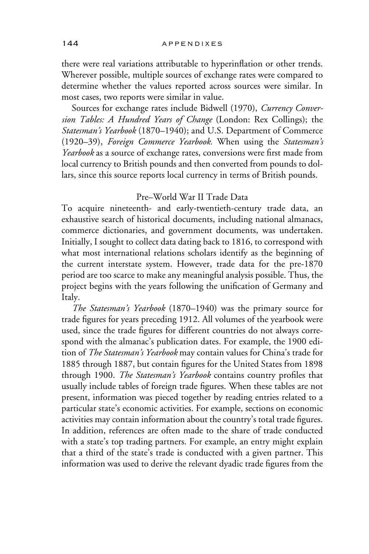there were real variations attributable to hyperinflation or other trends. Wherever possible, multiple sources of exchange rates were compared to determine whether the values reported across sources were similar. In most cases, two reports were similar in value.

Sources for exchange rates include Bidwell (1970), *Currency Conversion Tables: A Hundred Years of Change* (London: Rex Collings); the *Statesman's Yearbook* (1870–1940); and U.S. Department of Commerce (1920–39), *Foreign Commerce Yearbook.* When using the *Statesman's Yearbook* as a source of exchange rates, conversions were first made from local currency to British pounds and then converted from pounds to dollars, since this source reports local currency in terms of British pounds.

# Pre–World War II Trade Data

To acquire nineteenth- and early-twentieth-century trade data, an exhaustive search of historical documents, including national almanacs, commerce dictionaries, and government documents, was undertaken. Initially, I sought to collect data dating back to 1816, to correspond with what most international relations scholars identify as the beginning of the current interstate system. However, trade data for the pre-1870 period are too scarce to make any meaningful analysis possible. Thus, the project begins with the years following the unification of Germany and Italy.

*The Statesman's Yearbook* (1870–1940) was the primary source for trade figures for years preceding 1912. All volumes of the yearbook were used, since the trade figures for different countries do not always correspond with the almanac's publication dates. For example, the 1900 edition of *The Statesman's Yearbook* may contain values for China's trade for 1885 through 1887, but contain figures for the United States from 1898 through 1900. *The Statesman's Yearbook* contains country profiles that usually include tables of foreign trade figures. When these tables are not present, information was pieced together by reading entries related to a particular state's economic activities. For example, sections on economic activities may contain information about the country's total trade figures. In addition, references are often made to the share of trade conducted with a state's top trading partners. For example, an entry might explain that a third of the state's trade is conducted with a given partner. This information was used to derive the relevant dyadic trade figures from the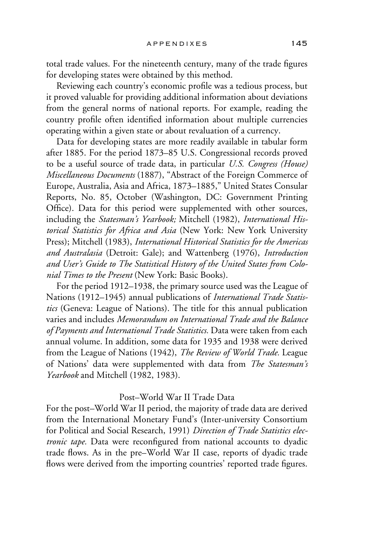total trade values. For the nineteenth century, many of the trade figures for developing states were obtained by this method.

Reviewing each country's economic profile was a tedious process, but it proved valuable for providing additional information about deviations from the general norms of national reports. For example, reading the country profile often identified information about multiple currencies operating within a given state or about revaluation of a currency.

Data for developing states are more readily available in tabular form after 1885. For the period 1873–85 U.S. Congressional records proved to be a useful source of trade data, in particular *U.S. Congress (House) Miscellaneous Documents* (1887), "Abstract of the Foreign Commerce of Europe, Australia, Asia and Africa, 1873–1885," United States Consular Reports, No. 85, October (Washington, DC: Government Printing Office). Data for this period were supplemented with other sources, including the *Statesman's Yearbook;* Mitchell (1982), *International Historical Statistics for Africa and Asia* (New York: New York University Press); Mitchell (1983), *International Historical Statistics for the Americas and Australasia* (Detroit: Gale); and Wattenberg (1976), *Introduction and User's Guide to The Statistical History of the United States from Colonial Times to the Present* (New York: Basic Books).

For the period 1912–1938, the primary source used was the League of Nations (1912–1945) annual publications of *International Trade Statistics* (Geneva: League of Nations). The title for this annual publication varies and includes *Memorandum on International Trade and the Balance of Payments and International Trade Statistics.* Data were taken from each annual volume. In addition, some data for 1935 and 1938 were derived from the League of Nations (1942), *The Review of World Trade.* League of Nations' data were supplemented with data from *The Statesman's Yearbook* and Mitchell (1982, 1983).

## Post–World War II Trade Data

For the post–World War II period, the majority of trade data are derived from the International Monetary Fund's (Inter-university Consortium for Political and Social Research, 1991) *Direction of Trade Statistics electronic tape*. Data were reconfigured from national accounts to dyadic trade flows. As in the pre-World War II case, reports of dyadic trade flows were derived from the importing countries' reported trade figures.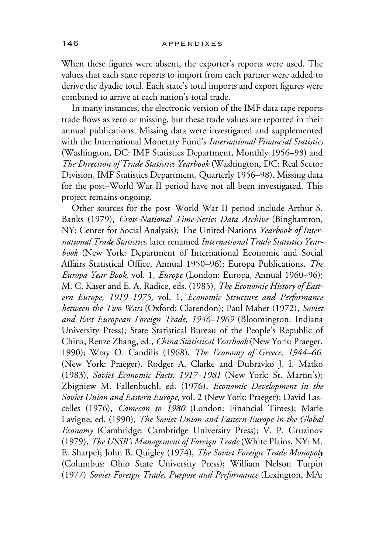When these figures were absent, the exporter's reports were used. The values that each state reports to import from each partner were added to derive the dyadic total. Each state's total imports and export figures were combined to arrive at each nation's total trade.

In many instances, the electronic version of the IMF data tape reports trade flows as zero or missing, but these trade values are reported in their annual publications. Missing data were investigated and supplemented with the International Monetary Fund's *International Financial Statistics* (Washington, DC: IMF Statistics Department, Monthly 1956–98) and *The Direction of Trade Statistics Yearbook* (Washington, DC: Real Sector Division, IMF Statistics Department, Quarterly 1956–98). Missing data for the post–World War II period have not all been investigated. This project remains ongoing.

Other sources for the post–World War II period include Arthur S. Banks (1979), *Cross-National Time-Series Data Archive* (Binghamton, NY: Center for Social Analysis); The United Nations *Yearbook of International Trade Statistics,* later renamed *International Trade Statistics Yearbook* (New York: Department of International Economic and Social Affairs Statistical Office, Annual 1950–96); Europa Publications, *The Europa Year Book,* vol. 1, *Europe* (London: Europa, Annual 1960–96); M. C. Kaser and E. A. Radice, eds. (1985)*, The Economic History of Eastern Europe, 1919–1975,* vol. 1, *Economic Structure and Performance between the Two Wars* (Oxford: Clarendon); Paul Maher (1972), *Soviet and East European Foreign Trade, 1946–1969* (Bloomington: Indiana University Press); State Statistical Bureau of the People's Republic of China, Renze Zhang, ed., *China Statistical Yearbook* (New York: Praeger, 1990); Wray O. Candilis (1968), *The Economy of Greece, 1944–66.* (New York: Praeger). Rodger A. Clarke and Dubravko J. I. Matko (1983), *Soviet Economic Facts, 1917–1981* (New York: St. Martin's); Zbigniew M. Fallenbuchl, ed. (1976), *Economic Development in the Soviet Union and Eastern Europe,* vol. 2 (New York: Praeger); David Lascelles (1976), *Comecon to 1980* (London: Financial Times); Marie Lavigne, ed. (1990), *The Soviet Union and Eastern Europe in the Global Economy* (Cambridge: Cambridge University Press); V. P. Gruzinov (1979), *The USSR's Management of Foreign Trade* (White Plains, NY: M. E. Sharpe); John B. Quigley (1974), *The Soviet Foreign Trade Monopoly* (Columbus: Ohio State University Press); William Nelson Turpin (1977) *Soviet Foreign Trade, Purpose and Performance* (Lexington, MA: